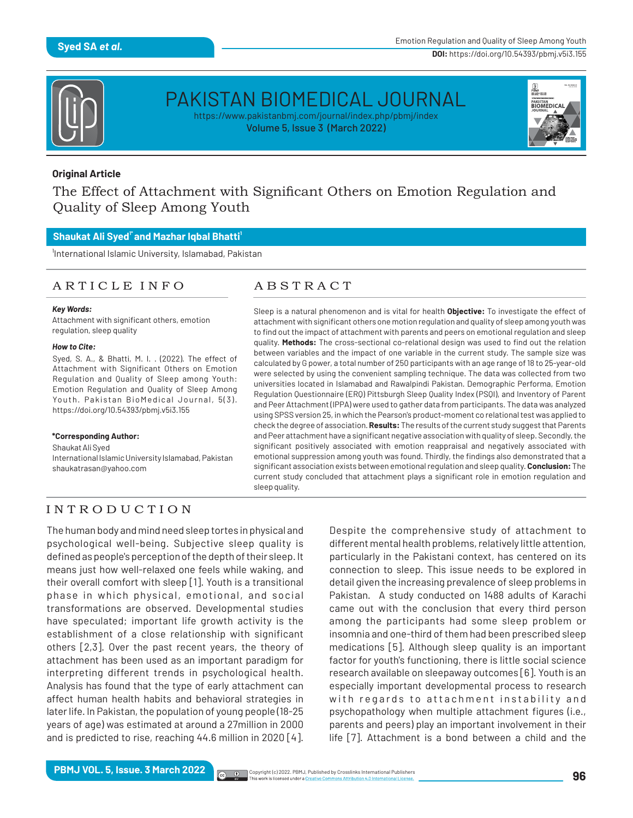

# PAKISTAN BIOMEDICAL JOURNAL

https://www.pakistanbmj.com/journal/index.php/pbmj/index Volume 5, Issue 3 (March 2022)



### **Original Article**

The Effect of Attachment with Significant Others on Emotion Regulation and Quality of Sleep Among Youth

### **1\* 1 Shaukat Ali Syed and Mazhar Iqbal Bhatti**

International Islamic University, Islamabad, Pakistan

### A R T I C L E I N F O LE A B S T R A C T

### *Key Words:*

Attachment with significant others, emotion regulation, sleep quality

### *How to Cite:*

Syed, S. A., & Bhatti, M. I. . (2022). The effect of Attachment with Significant Others on Emotion Regulation and Quality of Sleep among Youth: Emotion Regulation and Quality of Sleep Among Youth. Pakistan BioMedical Journal, 5(3). https://doi.org/10.54393/pbmj.v5i3.155

### **\*Corresponding Author:**

Shaukat Ali Syed

International Islamic University Islamabad, Pakistan shaukatrasan@yahoo.com

Sleep is a natural phenomenon and is vital for health **Objective:** To investigate the effect of attachment with significant others one motion regulation and quality of sleep among youth was to find out the impact of attachment with parents and peers on emotional regulation and sleep quality. Methods: The cross-sectional co-relational design was used to find out the relation between variables and the impact of one variable in the current study. The sample size was calculated by G power, a total number of 250 participants with an age range of 18 to 25-year-old were selected by using the convenient sampling technique. The data was collected from two universities located in Islamabad and Rawalpindi Pakistan. Demographic Performa, Emotion Regulation Questionnaire (ERQ) Pittsburgh Sleep Quality Index (PSQI), and Inventory of Parent and Peer Attachment (IPPA) were used to gather data from participants. The data was analyzed using SPSS version 25, in which the Pearson's product-moment co relational test was applied to check the degree of association. **Results:** The results of the current study suggest that Parents and Peer attachment have a significant negative association with quality of sleep. Secondly, the significant positively associated with emotion reappraisal and negatively associated with emotional suppression among youth was found. Thirdly, the findings also demonstrated that a signicant association exists between emotional regulation and sleep quality. **Conclusion:** The current study concluded that attachment plays a significant role in emotion regulation and sleep quality.

# I N T R O D U C T I O N

The human body and mind need sleep tortes in physical and psychological well-being. Subjective sleep quality is defined as people's perception of the depth of their sleep. It means just how well-relaxed one feels while waking, and their overall comfort with sleep [1]. Youth is a transitional phase in which physical, emotional, and social transformations are observed. Developmental studies have speculated; important life growth activity is the establishment of a close relationship with significant others [2,3]. Over the past recent years, the theory of attachment has been used as an important paradigm for interpreting different trends in psychological health. Analysis has found that the type of early attachment can affect human health habits and behavioral strategies in later life. In Pakistan, the population of young people (18-25 years of age) was estimated at around a 27million in 2000 and is predicted to rise, reaching 44.6 million in 2020 [4].

Despite the comprehensive study of attachment to different mental health problems, relatively little attention, particularly in the Pakistani context, has centered on its connection to sleep. This issue needs to be explored in detail given the increasing prevalence of sleep problems in Pakistan. A study conducted on 1488 adults of Karachi came out with the conclusion that every third person among the participants had some sleep problem or insomnia and one-third of them had been prescribed sleep medications [5]. Although sleep quality is an important factor for youth's functioning, there is little social science research available on sleepaway outcomes [6]. Youth is an especially important developmental process to research with regards to attachment instability and psychopathology when multiple attachment figures (i.e., parents and peers) play an important involvement in their life [7]. Attachment is a bond between a child and the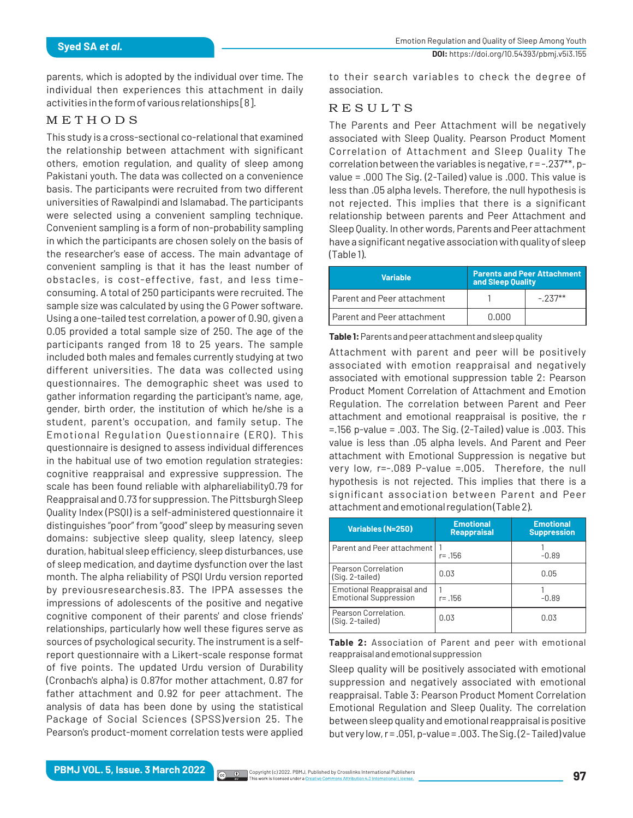parents, which is adopted by the individual over time. The individual then experiences this attachment in daily activities in the form of various relationships [8].

### **METHODS**

This study is a cross-sectional co-relational that examined the relationship between attachment with significant others, emotion regulation, and quality of sleep among Pakistani youth. The data was collected on a convenience basis. The participants were recruited from two different universities of Rawalpindi and Islamabad. The participants were selected using a convenient sampling technique. Convenient sampling is a form of non-probability sampling in which the participants are chosen solely on the basis of the researcher's ease of access. The main advantage of convenient sampling is that it has the least number of obstacles, is cost-effective, fast, and less timeconsuming. A total of 250 participants were recruited. The sample size was calculated by using the G Power software. Using a one-tailed test correlation, a power of 0.90, given a 0.05 provided a total sample size of 250. The age of the participants ranged from 18 to 25 years. The sample included both males and females currently studying at two different universities. The data was collected using questionnaires. The demographic sheet was used to gather information regarding the participant's name, age, gender, birth order, the institution of which he/she is a student, parent's occupation, and family setup. The Emotional Regulation Questionnaire (ERQ). This questionnaire is designed to assess individual differences in the habitual use of two emotion regulation strategies: cognitive reappraisal and expressive suppression. The scale has been found reliable with alphareliability0.79 for Reappraisal and 0.73 for suppression. The Pittsburgh Sleep Quality Index (PSQI) is a self-administered questionnaire it distinguishes "poor" from "good" sleep by measuring seven domains: subjective sleep quality, sleep latency, sleep duration, habitual sleep efficiency, sleep disturbances, use of sleep medication, and daytime dysfunction over the last month. The alpha reliability of PSQI Urdu version reported by previousresearchesis.83. The IPPA assesses the impressions of adolescents of the positive and negative cognitive component of their parents' and close friends' relationships, particularly how well these figures serve as sources of psychological security. The instrument is a selfreport questionnaire with a Likert-scale response format of five points. The updated Urdu version of Durability (Cronbach's alpha) is 0.87for mother attachment, 0.87 for father attachment and 0.92 for peer attachment. The analysis of data has been done by using the statistical Package of Social Sciences (SPSS)version 25. The Pearson's product-moment correlation tests were applied

to their search variables to check the degree of association.

# R E S U L T S

The Parents and Peer Attachment will be negatively associated with Sleep Quality. Pearson Product Moment Correlation of Attachment and Sleep Quality The correlation between the variables is negative, r = -.237\*\*, pvalue = .000 The Sig. (2-Tailed) value is .000. This value is less than .05 alpha levels. Therefore, the null hypothesis is not rejected. This implies that there is a significant relationship between parents and Peer Attachment and Sleep Quality. In other words, Parents and Peer attachment have a significant negative association with quality of sleep (Table 1).

| <b>Variable</b>              | <b>Parents and Peer Attachment</b><br>and Sleep Quality |           |
|------------------------------|---------------------------------------------------------|-----------|
| I Parent and Peer attachment |                                                         | $-2.37**$ |
| I Parent and Peer attachment | 0.000                                                   |           |

**Table 1:** Parents and peer attachment and sleep quality

Attachment with parent and peer will be positively associated with emotion reappraisal and negatively associated with emotional suppression table 2: Pearson Product Moment Correlation of Attachment and Emotion Regulation. The correlation between Parent and Peer attachment and emotional reappraisal is positive, the r =.156 p-value = .003. The Sig. (2-Tailed) value is .003. This value is less than .05 alpha levels. And Parent and Peer attachment with Emotional Suppression is negative but very low, r=-.089 P-value =.005. Therefore, the null hypothesis is not rejected. This implies that there is a significant association between Parent and Peer attachment and emotional regulation (Table 2).

| <b>Variables (N=250)</b>                                  | <b>Emotional</b><br><b>Reappraisal</b> | <b>Emotional</b><br><b>Suppression</b> |
|-----------------------------------------------------------|----------------------------------------|----------------------------------------|
| Parent and Peer attachment                                | r= .156                                | $-0.89$                                |
| Pearson Correlation<br>(Sig. 2-tailed)                    | 0.03                                   | 0.05                                   |
| Emotional Reappraisal and<br><b>Emotional Suppression</b> | r= .156                                | -0.89                                  |
| Pearson Correlation.<br>(Sig. 2-tailed)                   | 0.03                                   | 0.03                                   |

**Table 2:** Association of Parent and peer with emotional reappraisal and emotional suppression

Sleep quality will be positively associated with emotional suppression and negatively associated with emotional reappraisal. Table 3: Pearson Product Moment Correlation Emotional Regulation and Sleep Quality. The correlation between sleep quality and emotional reappraisal is positive but very low, r = .051, p-value = .003. The Sig. (2- Tailed) value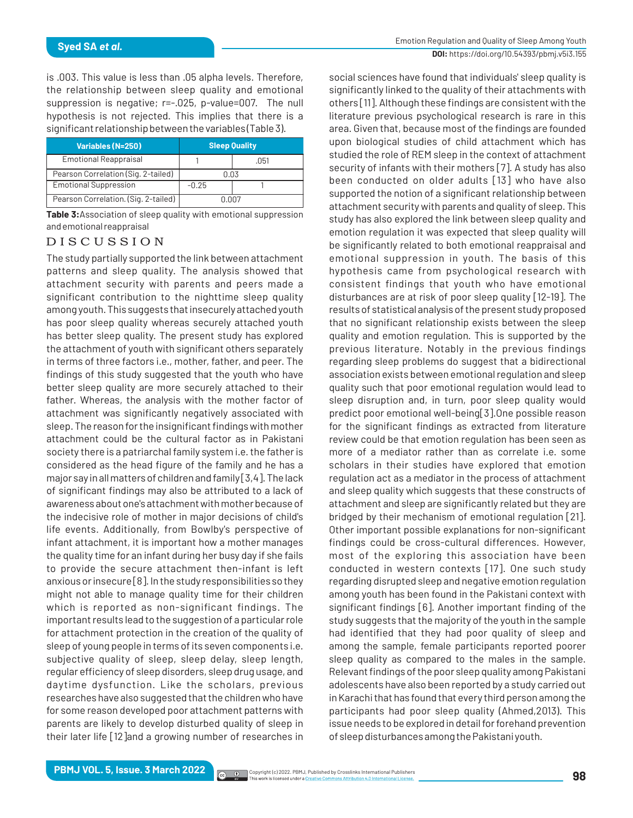is .003. This value is less than .05 alpha levels. Therefore, the relationship between sleep quality and emotional suppression is negative; r=-.025, p-value=007. The null hypothesis is not rejected. This implies that there is a significant relationship between the variables (Table 3).

| <b>Variables (N=250)</b>             | <b>Sleep Quality</b> |      |  |
|--------------------------------------|----------------------|------|--|
| <b>Emotional Reappraisal</b>         |                      | .051 |  |
| Pearson Correlation (Sig. 2-tailed)  | 0.03                 |      |  |
| <b>Emotional Suppression</b>         | $-0.25$              |      |  |
| Pearson Correlation. (Sig. 2-tailed) | N NN 7               |      |  |

**Table 3:**Association of sleep quality with emotional suppression and emotional reappraisal

### D I S C U S S I O N

The study partially supported the link between attachment patterns and sleep quality. The analysis showed that attachment security with parents and peers made a significant contribution to the nighttime sleep quality among youth. This suggests that insecurely attached youth has poor sleep quality whereas securely attached youth has better sleep quality. The present study has explored the attachment of youth with significant others separately in terms of three factors i.e., mother, father, and peer. The findings of this study suggested that the youth who have better sleep quality are more securely attached to their father. Whereas, the analysis with the mother factor of attachment was significantly negatively associated with sleep. The reason for the insignificant findings with mother attachment could be the cultural factor as in Pakistani society there is a patriarchal family system i.e. the father is considered as the head figure of the family and he has a major say in all matters of children and family [3,4]. The lack of significant findings may also be attributed to a lack of awareness about one's attachment with mother because of the indecisive role of mother in major decisions of child's life events. Additionally, from Bowlby's perspective of infant attachment, it is important how a mother manages the quality time for an infant during her busy day if she fails to provide the secure attachment then-infant is left anxious or insecure [8]. In the study responsibilities so they might not able to manage quality time for their children which is reported as non-significant findings. The important results lead to the suggestion of a particular role for attachment protection in the creation of the quality of sleep of young people in terms of its seven components i.e. subjective quality of sleep, sleep delay, sleep length, regular efficiency of sleep disorders, sleep drug usage, and daytime dysfunction. Like the scholars, previous researches have also suggested that the children who have for some reason developed poor attachment patterns with parents are likely to develop disturbed quality of sleep in their later life [12]and a growing number of researches in

social sciences have found that individuals' sleep quality is significantly linked to the quality of their attachments with others [11]. Although these findings are consistent with the literature previous psychological research is rare in this area. Given that, because most of the findings are founded upon biological studies of child attachment which has studied the role of REM sleep in the context of attachment security of infants with their mothers [7]. A study has also been conducted on older adults [13] who have also supported the notion of a significant relationship between attachment security with parents and quality of sleep. This study has also explored the link between sleep quality and emotion regulation it was expected that sleep quality will be significantly related to both emotional reappraisal and emotional suppression in youth. The basis of this hypothesis came from psychological research with consistent findings that youth who have emotional disturbances are at risk of poor sleep quality [12-19]. The results of statistical analysis of the present study proposed that no significant relationship exists between the sleep quality and emotion regulation. This is supported by the previous literature. Notably in the previous findings regarding sleep problems do suggest that a bidirectional association exists between emotional regulation and sleep quality such that poor emotional regulation would lead to sleep disruption and, in turn, poor sleep quality would predict poor emotional well-being[3].One possible reason for the significant findings as extracted from literature review could be that emotion regulation has been seen as more of a mediator rather than as correlate i.e. some scholars in their studies have explored that emotion regulation act as a mediator in the process of attachment and sleep quality which suggests that these constructs of attachment and sleep are significantly related but they are bridged by their mechanism of emotional regulation [21]. Other important possible explanations for non-significant findings could be cross-cultural differences. However, most of the exploring this association have been conducted in western contexts [17]. One such study regarding disrupted sleep and negative emotion regulation among youth has been found in the Pakistani context with significant findings [6]. Another important finding of the study suggests that the majority of the youth in the sample had identified that they had poor quality of sleep and among the sample, female participants reported poorer sleep quality as compared to the males in the sample. Relevant findings of the poor sleep quality among Pakistani adolescents have also been reported by a study carried out in Karachi that has found that every third person among the participants had poor sleep quality (Ahmed,2013). This issue needs to be explored in detail for forehand prevention of sleep disturbances among the Pakistani youth.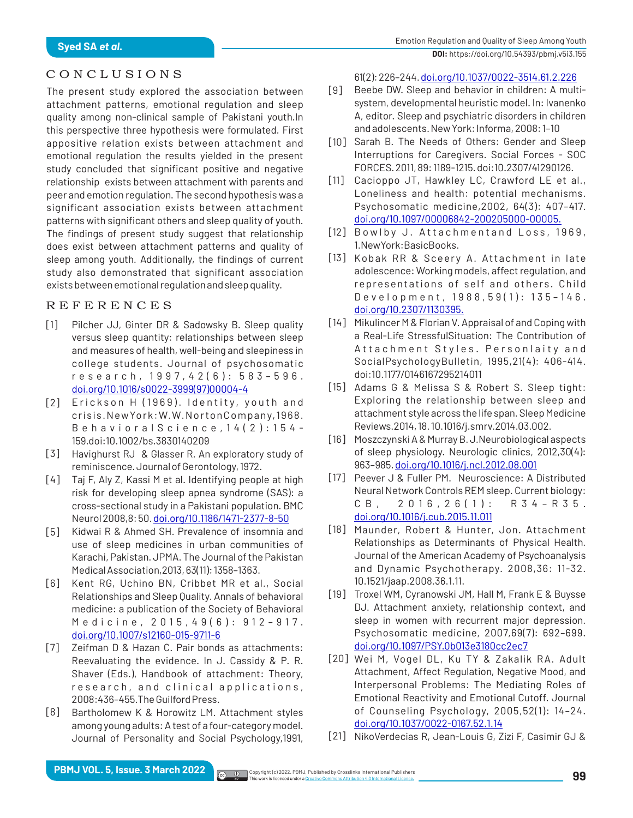# C O N C L U S I O N S

The present study explored the association between attachment patterns, emotional regulation and sleep quality among non-clinical sample of Pakistani youth.In this perspective three hypothesis were formulated. First appositive relation exists between attachment and emotional regulation the results yielded in the present study concluded that significant positive and negative relationship exists between attachment with parents and peer and emotion regulation. The second hypothesis was a significant association exists between attachment patterns with significant others and sleep quality of youth. The findings of present study suggest that relationship does exist between attachment patterns and quality of sleep among youth. Additionally, the findings of current study also demonstrated that significant association exists between emotional regulation and sleep quality.

# R E F E R E N C E S

- Pilcher JJ, Ginter DR & Sadowsky B. Sleep quality versus sleep quantity: relationships between sleep and measures of health, well-being and sleepiness in college students. Journal of psychosomatic r e s e a r c h , 1 9 9 7 , 4 2 ( 6 ) : 5 8 3 – 5 9 6 . [doi.org/10.1016/s0022-3999\(97\)00004-4](https://doi.org/10.1016/s0022-3999(97)00004-4) [1]
- [2] Erickson H (1969). Identity, youth and crisis.NewYork:W.W.NortonCompany,1968. B e h a v i o r a l S c i e n c e , 1 4 ( 2 ) : 1 5 4 - 159.doi:10.1002/bs.3830140209
- [3] Havighurst RJ & Glasser R. An exploratory study of reminiscence. Journal of Gerontology, 1972.
- [4] Taj F, Aly Z, Kassi M et al. Identifying people at high risk for developing sleep apnea syndrome (SAS): a cross-sectional study in a Pakistani population. BMC Neurol 2008,8: 50. [doi.org/10.1186/1471-2377-8-50](https://doi.org/10.1186/1471-2377-8-50)
- [5] Kidwai R & Ahmed SH. Prevalence of insomnia and use of sleep medicines in urban communities of Karachi, Pakistan. JPMA. The Journal of the Pakistan Medical Association,2013, 63(11): 1358–1363.
- [6] Kent RG, Uchino BN, Cribbet MR et al., Social Relationships and Sleep Quality. Annals of behavioral medicine: a publication of the Society of Behavioral Medicine, 2015, 49 (6): 912 - 917. [doi.org/10.1007/s12160-015-9711-6](https://doi.org/10.1007/s12160-015-9711-6)
- Zeifman D & Hazan C. Pair bonds as attachments: Reevaluating the evidence. In J. Cassidy & P. R. Shaver (Eds.), Handbook of attachment: Theory, research, and clinical applications, 2008:436–455.The Guilford Press. [7]
- Bartholomew K & Horowitz LM. Attachment styles among young adults: A test of a four-category model. Journal of Personality and Social Psychology,1991, [8]

61(2): 226–244. [doi.org/10.1037/0022-3514.61.2.226](https://psycnet.apa.org/doi/10.1037/0022-3514.61.2.226)

- Beebe DW. Sleep and behavior in children: A multisystem, developmental heuristic model. In: Ivanenko A, editor. Sleep and psychiatric disorders in children and adolescents. New York: Informa, 2008: 1–10 [9]
- [10] Sarah B. The Needs of Others: Gender and Sleep Interruptions for Caregivers. Social Forces - SOC FORCES. 2011, 89: 1189-1215. doi:10.2307/41290126.
- [11] Cacioppo JT, Hawkley LC, Crawford LE et al., Loneliness and health: potential mechanisms. Psychosomatic medicine,2002, 64(3): 407–417. [doi.org/10.1097/00006842-200205000-00005.](https://doi.org/10.1097/00006842-200205000-00005)
- [12] Bowlby J. Attachmentand Loss, 1969, 1.NewYork:BasicBooks.
- [13] Kobak RR & Sceery A. Attachment in late adolescence: Working models, affect regulation, and representations of self and others. Child Development, 1988, 59(1): 135-146. [doi.org/10.2307/1130395.](https://psycnet.apa.org/doi/10.2307/1130395)
- [14] Mikulincer M & Florian V. Appraisal of and Coping with a Real-Life StressfulSituation: The Contribution of Attachment Styles. Personlaity and SocialPsychologyBulletin, 1995,21(4): 406-414. doi:10.1177/0146167295214011
- [15] Adams G & Melissa S & Robert S. Sleep tight: Exploring the relationship between sleep and attachment style across the life span. Sleep Medicine Reviews.2014, 18. 10.1016/j.smrv.2014.03.002.
- [16] Moszczynski A & Murray B. J. Neurobiological aspects of sleep physiology. Neurologic clinics, 2012,30(4): 963–985. [doi.org/10.1016/j.ncl.2012.08.001](https://doi.org/10.1016/j.ncl.2012.08.001)
- [17] Peever J & Fuller PM. Neuroscience: A Distributed Neural Network Controls REM sleep. Current biology: C B , 2 0 1 6 , 2 6 ( 1 ) : R 3 4 - R 3 5 . [doi.org/10.1016/j.cub.2015.11.011](https://doi.org/10.1016/j.cub.2015.11.011)
- [18] Maunder, Robert & Hunter, Jon. Attachment Relationships as Determinants of Physical Health. Journal of the American Academy of Psychoanalysis and Dynamic Psychotherapy. 2008,36: 11-32. 10.1521/jaap.2008.36.1.11.
- [19] Troxel WM, Cyranowski JM, Hall M, Frank E & Buysse DJ. Attachment anxiety, relationship context, and sleep in women with recurrent major depression. Psychosomatic medicine, 2007,69(7): 692–699. [doi.org/10.1097/PSY.0b013e3180cc2ec7](https://doi.org/10.1097/PSY.0b013e3180cc2ec7)
- [20] Wei M, Vogel DL, Ku TY & Zakalik RA. Adult Attachment, Affect Regulation, Negative Mood, and Interpersonal Problems: The Mediating Roles of Emotional Reactivity and Emotional Cutoff. Journal of Counseling Psychology, 2005,52(1): 14–24. [doi.org/10.1037/0022-0167.52.1.14](https://psycnet.apa.org/doi/10.1037/0022-0167.52.1.14)
- [21] NikoVerdecias R, Jean-Louis G, Zizi F, Casimir GJ &